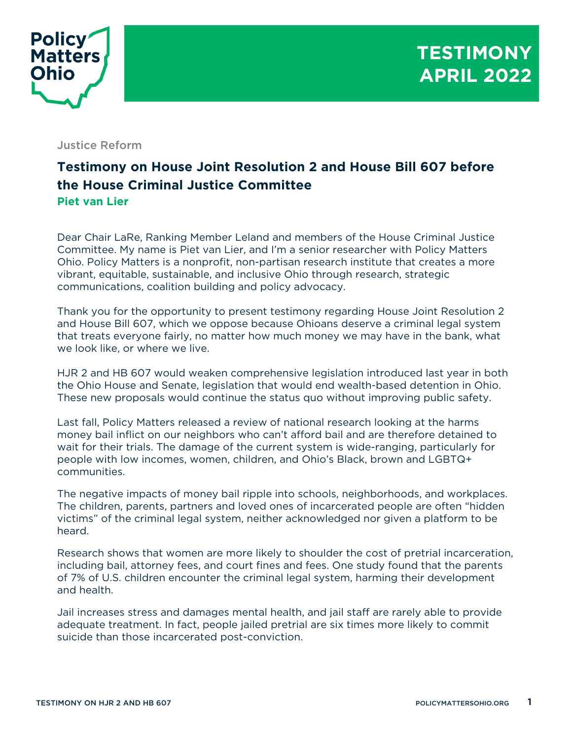

## Justice Reform

## **Testimony on House Joint Resolution 2 and House Bill 607 before the House Criminal Justice Committee Piet van Lier**

Dear Chair LaRe, Ranking Member Leland and members of the House Criminal Justice Committee. My name is Piet van Lier, and I'm a senior researcher with Policy Matters Ohio. Policy Matters is a nonprofit, non-partisan research institute that creates a more vibrant, equitable, sustainable, and inclusive Ohio through research, strategic communications, coalition building and policy advocacy.

Thank you for the opportunity to present testimony regarding House Joint Resolution 2 and House Bill 607, which we oppose because Ohioans deserve a criminal legal system that treats everyone fairly, no matter how much money we may have in the bank, what we look like, or where we live.

HJR 2 and HB 607 would weaken comprehensive legislation introduced last year in both the Ohio House and Senate, legislation that would end wealth-based detention in Ohio. These new proposals would continue the status quo without improving public safety.

Last fall, Policy Matters released a review of national research looking at the harms money bail inflict on our neighbors who can't afford bail and are therefore detained to wait for their trials. The damage of the current system is wide-ranging, particularly for people with low incomes, women, children, and Ohio's Black, brown and LGBTQ+ communities.

The negative impacts of money bail ripple into schools, neighborhoods, and workplaces. The children, parents, partners and loved ones of incarcerated people are often "hidden victims" of the criminal legal system, neither acknowledged nor given a platform to be heard.

Research shows that women are more likely to shoulder the cost of pretrial incarceration, including bail, attorney fees, and court fines and fees. One study found that the parents of 7% of U.S. children encounter the criminal legal system, harming their development and health.

Jail increases stress and damages mental health, and jail staff are rarely able to provide adequate treatment. In fact, people jailed pretrial are six times more likely to commit suicide than those incarcerated post-conviction.